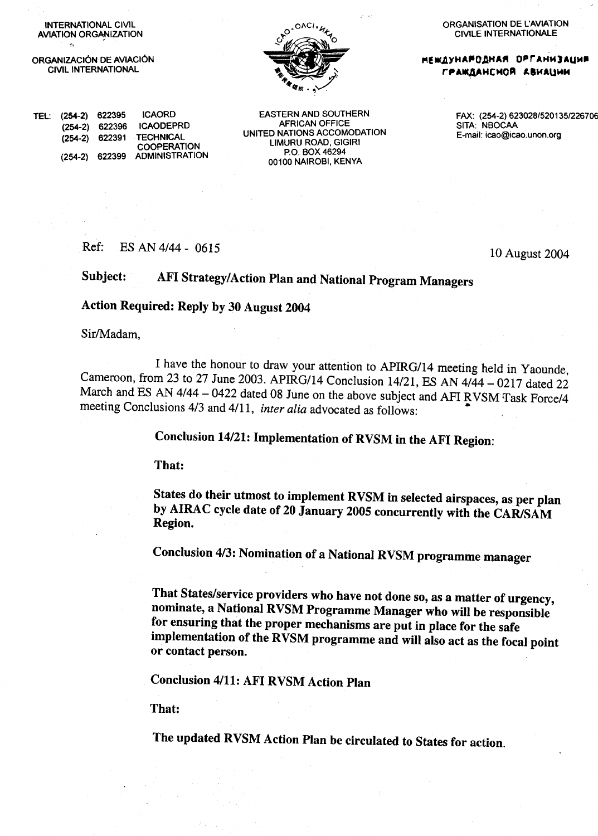INTERNATIONAL CIVIL **AVIATION ORGANIZATION** 

ORGANIZACIÓN DE AVIACIÓN **CIVIL INTERNATIONAL** 

 $(254-2)$  622396

(254-2) 622399

Ref:

(254-2) 622391 TECHNICAL

TEL: (254-2) 622395



**EASTERN AND SOUTHERN** 

**AFRICAN OFFICE** 

UNITED NATIONS ACCOMODATION

LIMURU ROAD, GIGIRI

P.O. BOX 46294

00100 NAIROBI, KENYA

ORGANISATION DE L'AVIATION **CIVILE INTERNATIONALE** 

**НЕЖДУНАРОДНАЯ ОРГАНИЗАЦИЯ** ГРАЖДАНСМОЙ АВИАЦИИ

> FAX: (254-2) 623028/520135/226706 SITA: NBOCAA E-mail: icao@icao.unon.org

**ICAORD** 

**ICAODEPRD** 

**COOPERATION** 

**ADMINISTRATION** 

ES AN 4/44 - 0615

Subject: AFI Strategy/Action Plan and National Program Managers

Action Required: Reply by 30 August 2004

Sir/Madam.

I have the honour to draw your attention to APIRG/14 meeting held in Yaounde, Cameroon, from 23 to 27 June 2003. APIRG/14 Conclusion 14/21, ES AN 4/44 - 0217 dated 22 March and ES AN 4/44 - 0422 dated 08 June on the above subject and AFI RVSM Task Force/4 meeting Conclusions 4/3 and 4/11, inter alia advocated as follows:

Conclusion 14/21: Implementation of RVSM in the AFI Region:

That:

States do their utmost to implement RVSM in selected airspaces, as per plan by AIRAC cycle date of 20 January 2005 concurrently with the CAR/SAM Region.

Conclusion 4/3: Nomination of a National RVSM programme manager

That States/service providers who have not done so, as a matter of urgency, nominate, a National RVSM Programme Manager who will be responsible for ensuring that the proper mechanisms are put in place for the safe implementation of the RVSM programme and will also act as the focal point or contact person.

**Conclusion 4/11: AFI RVSM Action Plan** 

That:

The updated RVSM Action Plan be circulated to States for action.

10 August 2004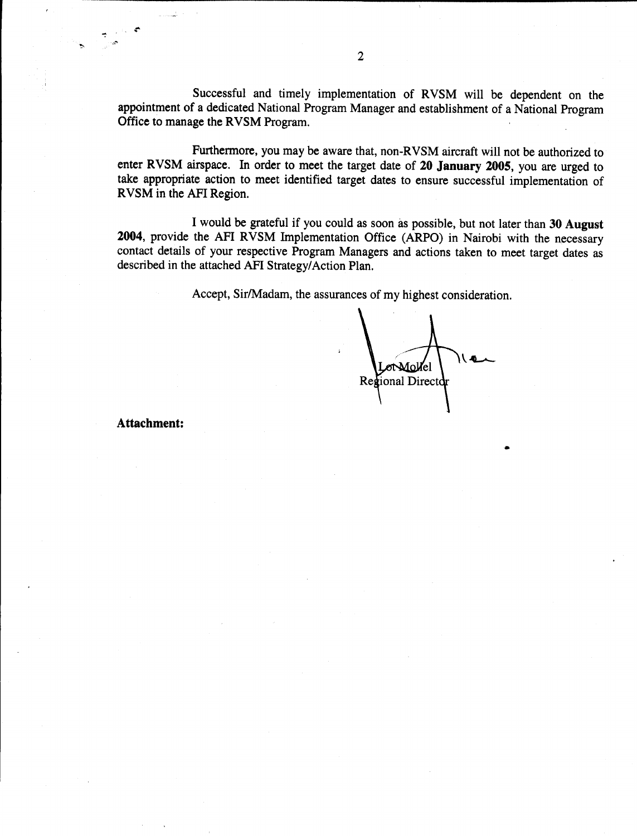Successful and timely implementation of RVSM will be dependent on the appointment of a dedicated National Program Manager and establishment of a National Program Office to manage the RVSM Program.

Furthermore, you may be aware that, non-RVSM aircraft will not be authorized to enter RVSM airspace. In order to meet the target date of 20 January 2005, you are urged to take appropriate action to meet identified target dates to ensure successful implementation of RVSM in the AFI Region.

I would be grateful if you could as soon as possible, but not later than 30 August 2004, provide the AFI RVSM Implementation Office (ARPO) in Nairobi with the necessary contact details of your respective Program Managers and actions taken to meet target dates as described in the attached AFI Strategy/Action Plan.

Accept, Sir/Madam, the assurances of my highest consideration.

Lor Mollel le

**Attachment:**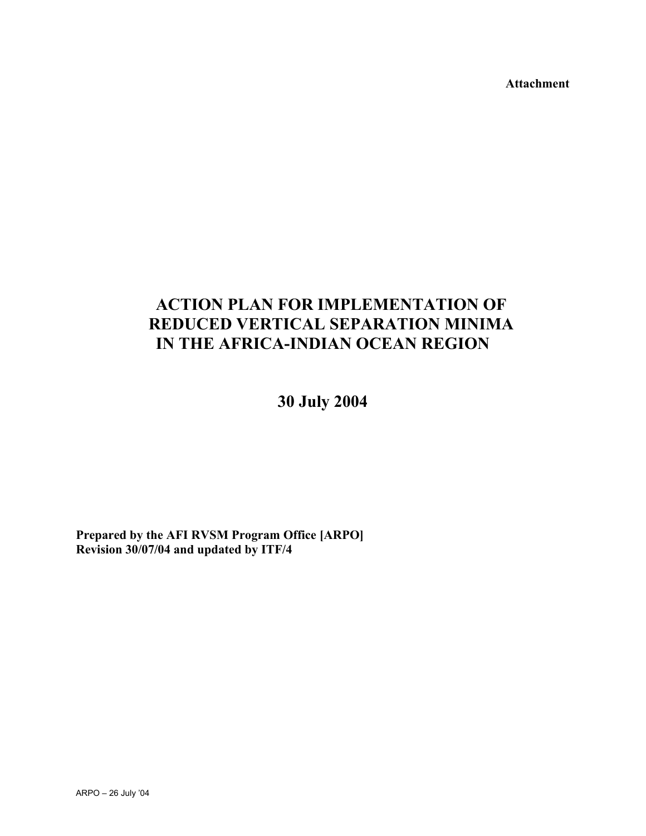**Attachment** 

## **ACTION PLAN FOR IMPLEMENTATION OF REDUCED VERTICAL SEPARATION MINIMA IN THE AFRICA-INDIAN OCEAN REGION**

**30 July 2004** 

**Prepared by the AFI RVSM Program Office [ARPO] Revision 30/07/04 and updated by ITF/4**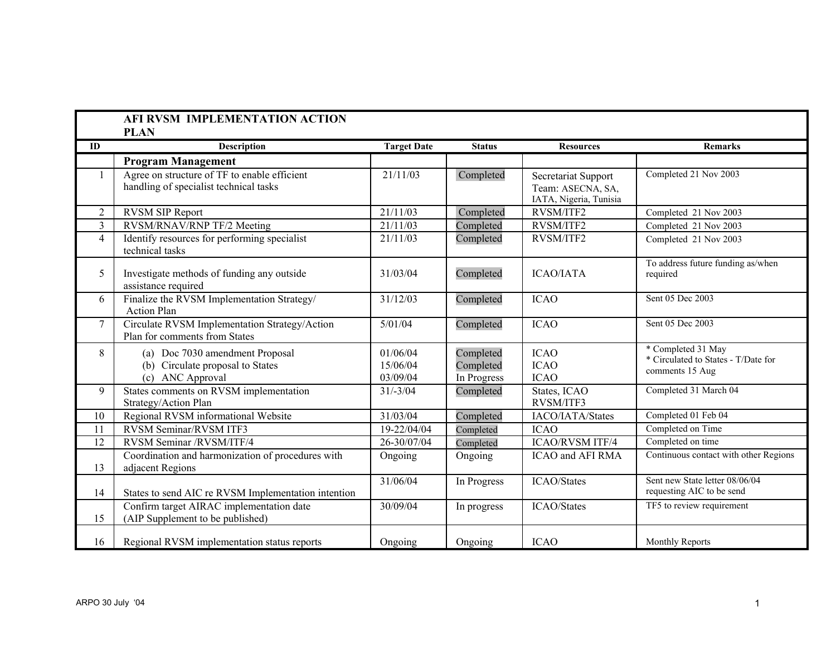|                | <b>AFI RVSM IMPLEMENTATION ACTION</b><br><b>PLAN</b>                                    |                                  |                                       |                                                                    |                                                                              |
|----------------|-----------------------------------------------------------------------------------------|----------------------------------|---------------------------------------|--------------------------------------------------------------------|------------------------------------------------------------------------------|
| ID             | <b>Description</b>                                                                      | <b>Target Date</b>               | <b>Status</b>                         | <b>Resources</b>                                                   | <b>Remarks</b>                                                               |
|                | <b>Program Management</b>                                                               |                                  |                                       |                                                                    |                                                                              |
|                | Agree on structure of TF to enable efficient<br>handling of specialist technical tasks  | 21/11/03                         | Completed                             | Secretariat Support<br>Team: ASECNA, SA,<br>IATA, Nigeria, Tunisia | Completed 21 Nov 2003                                                        |
| 2              | <b>RVSM SIP Report</b>                                                                  | 21/11/03                         | Completed                             | RVSM/ITF2                                                          | Completed 21 Nov 2003                                                        |
| 3              | RVSM/RNAV/RNP TF/2 Meeting                                                              | 21/11/03                         | Completed                             | RVSM/ITF2                                                          | Completed 21 Nov 2003                                                        |
| $\overline{4}$ | Identify resources for performing specialist<br>technical tasks                         | 21/11/03                         | Completed                             | RVSM/ITF2                                                          | Completed 21 Nov 2003                                                        |
| 5              | Investigate methods of funding any outside<br>assistance required                       | 31/03/04                         | Completed                             | <b>ICAO/IATA</b>                                                   | To address future funding as/when<br>required                                |
| 6              | Finalize the RVSM Implementation Strategy/<br><b>Action Plan</b>                        | 31/12/03                         | Completed                             | <b>ICAO</b>                                                        | Sent 05 Dec 2003                                                             |
| $\tau$         | Circulate RVSM Implementation Strategy/Action<br>Plan for comments from States          | 5/01/04                          | Completed                             | <b>ICAO</b>                                                        | Sent 05 Dec 2003                                                             |
| 8              | (a) Doc 7030 amendment Proposal<br>(b) Circulate proposal to States<br>(c) ANC Approval | 01/06/04<br>15/06/04<br>03/09/04 | Completed<br>Completed<br>In Progress | <b>ICAO</b><br><b>ICAO</b><br><b>ICAO</b>                          | * Completed 31 May<br>* Circulated to States - T/Date for<br>comments 15 Aug |
| 9              | States comments on RVSM implementation<br>Strategy/Action Plan                          | $31/-3/04$                       | Completed                             | States, ICAO<br>RVSM/ITF3                                          | Completed 31 March 04                                                        |
| 10             | Regional RVSM informational Website                                                     | 31/03/04                         | Completed                             | IACO/IATA/States                                                   | Completed 01 Feb 04                                                          |
| 11             | <b>RVSM</b> Seminar/RVSM ITF3                                                           | 19-22/04/04                      | Completed                             | <b>ICAO</b>                                                        | Completed on Time                                                            |
| 12             | RVSM Seminar /RVSM/ITF/4                                                                | 26-30/07/04                      | Completed                             | <b>ICAO/RVSM ITF/4</b>                                             | Completed on time                                                            |
| 13             | Coordination and harmonization of procedures with<br>adjacent Regions                   | Ongoing                          | Ongoing                               | ICAO and AFI RMA                                                   | Continuous contact with other Regions                                        |
| 14             | States to send AIC re RVSM Implementation intention                                     | 31/06/04                         | In Progress                           | ICAO/States                                                        | Sent new State letter 08/06/04<br>requesting AIC to be send                  |
| 15             | Confirm target AIRAC implementation date<br>(AIP Supplement to be published)            | 30/09/04                         | In progress                           | ICAO/States                                                        | TF5 to review requirement                                                    |
| 16             | Regional RVSM implementation status reports                                             | Ongoing                          | Ongoing                               | <b>ICAO</b>                                                        | Monthly Reports                                                              |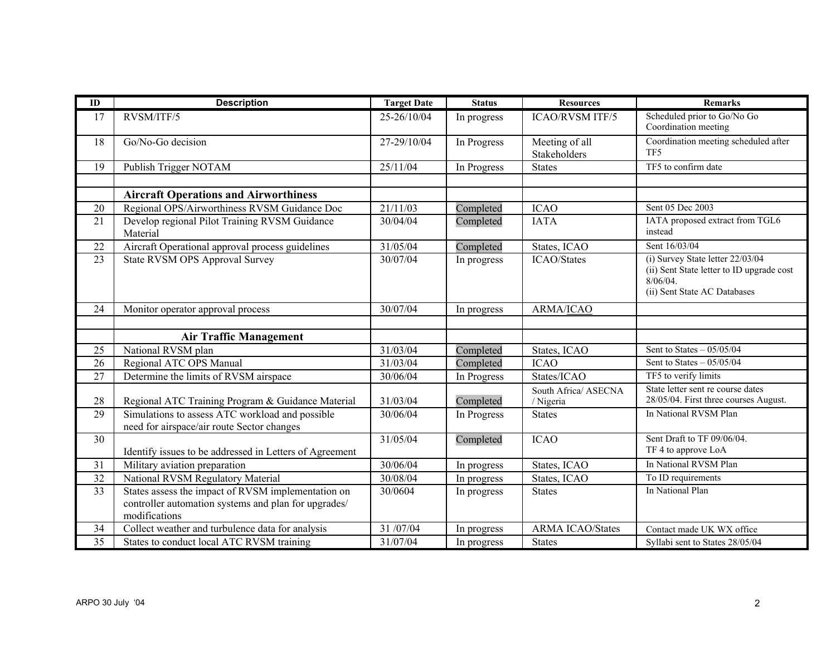| ID              | <b>Description</b>                                                                                                          | <b>Target Date</b> | <b>Status</b> | <b>Resources</b>                  | <b>Remarks</b>                                                                                                               |
|-----------------|-----------------------------------------------------------------------------------------------------------------------------|--------------------|---------------|-----------------------------------|------------------------------------------------------------------------------------------------------------------------------|
| 17              | RVSM/ITF/5                                                                                                                  | 25-26/10/04        | In progress   | <b>ICAO/RVSM ITF/5</b>            | Scheduled prior to Go/No Go<br>Coordination meeting                                                                          |
| 18              | Go/No-Go decision                                                                                                           | 27-29/10/04        | In Progress   | Meeting of all<br>Stakeholders    | Coordination meeting scheduled after<br>TF <sub>5</sub>                                                                      |
| 19              | Publish Trigger NOTAM                                                                                                       | 25/11/04           | In Progress   | <b>States</b>                     | TF5 to confirm date                                                                                                          |
|                 |                                                                                                                             |                    |               |                                   |                                                                                                                              |
|                 | <b>Aircraft Operations and Airworthiness</b>                                                                                |                    |               |                                   |                                                                                                                              |
| 20              | Regional OPS/Airworthiness RVSM Guidance Doc                                                                                | 21/11/03           | Completed     | <b>ICAO</b>                       | Sent 05 Dec 2003                                                                                                             |
| 21              | Develop regional Pilot Training RVSM Guidance<br>Material                                                                   | 30/04/04           | Completed     | <b>IATA</b>                       | IATA proposed extract from TGL6<br>instead                                                                                   |
| $\overline{22}$ | Aircraft Operational approval process guidelines                                                                            | 31/05/04           | Completed     | States, ICAO                      | Sent 16/03/04                                                                                                                |
| 23              | <b>State RVSM OPS Approval Survey</b>                                                                                       | 30/07/04           | In progress   | <b>ICAO/States</b>                | (i) Survey State letter 22/03/04<br>(ii) Sent State letter to ID upgrade cost<br>$8/06/04$ .<br>(ii) Sent State AC Databases |
| 24              | Monitor operator approval process                                                                                           | 30/07/04           | In progress   | ARMA/ICAO                         |                                                                                                                              |
|                 |                                                                                                                             |                    |               |                                   |                                                                                                                              |
|                 | <b>Air Traffic Management</b>                                                                                               |                    |               |                                   |                                                                                                                              |
| 25              | National RVSM plan                                                                                                          | 31/03/04           | Completed     | States, ICAO                      | Sent to States $-05/05/04$                                                                                                   |
| 26              | Regional ATC OPS Manual                                                                                                     | 31/03/04           | Completed     | <b>ICAO</b>                       | Sent to States $-05/05/04$                                                                                                   |
| 27              | Determine the limits of RVSM airspace                                                                                       | 30/06/04           | In Progress   | States/ICAO                       | TF5 to verify limits                                                                                                         |
| 28              | Regional ATC Training Program & Guidance Material                                                                           | 31/03/04           | Completed     | South Africa/ ASECNA<br>/ Nigeria | State letter sent re course dates<br>28/05/04. First three courses August.                                                   |
| 29              | Simulations to assess ATC workload and possible<br>need for airspace/air route Sector changes                               | 30/06/04           | In Progress   | <b>States</b>                     | In National RVSM Plan                                                                                                        |
| 30              | Identify issues to be addressed in Letters of Agreement                                                                     | 31/05/04           | Completed     | <b>ICAO</b>                       | Sent Draft to TF 09/06/04.<br>TF 4 to approve LoA                                                                            |
| 31              | Military aviation preparation                                                                                               | 30/06/04           | In progress   | States, ICAO                      | In National RVSM Plan                                                                                                        |
| 32              | National RVSM Regulatory Material                                                                                           | 30/08/04           | In progress   | States, ICAO                      | To ID requirements                                                                                                           |
| 33              | States assess the impact of RVSM implementation on<br>controller automation systems and plan for upgrades/<br>modifications | 30/0604            | In progress   | <b>States</b>                     | In National Plan                                                                                                             |
| 34              | Collect weather and turbulence data for analysis                                                                            | 31/07/04           | In progress   | <b>ARMA ICAO/States</b>           | Contact made UK WX office                                                                                                    |
| $\overline{35}$ | States to conduct local ATC RVSM training                                                                                   | 31/07/04           | In progress   | <b>States</b>                     | Syllabi sent to States 28/05/04                                                                                              |